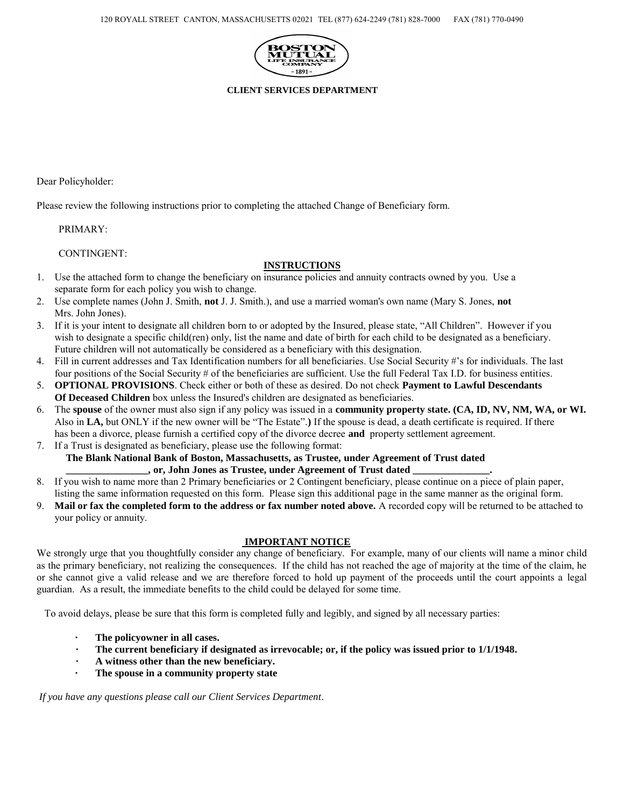

**CLIENT SERVICES DEPARTMENT** 

Dear Policyholder:

Please review the following instructions prior to completing the attached Change of Beneficiary form.

PRIMARY:

CONTINGENT:

### **INSTRUCTIONS**

- 1. Use the attached form to change the beneficiary on insurance policies and annuity contracts owned by you. Use a separate form for each policy you wish to change.
- 2. Use complete names (John J. Smith, **not** J. J. Smith.), and use a married woman's own name (Mary S. Jones, **not** Mrs. John Jones).
- 3. If it is your intent to designate all children born to or adopted by the Insured, please state, "All Children". However if you wish to designate a specific child(ren) only, list the name and date of birth for each child to be designated as a beneficiary. Future children will not automatically be considered as a beneficiary with this designation.
- 4. Fill in current addresses and Tax Identification numbers for all beneficiaries. Use Social Security #'s for individuals. The last four positions of the Social Security # of the beneficiaries are sufficient. Use the full Federal Tax I.D. for business entities.
- 5. **OPTIONAL PROVISIONS**. Check either or both of these as desired. Do not check **Payment to Lawful Descendants Of Deceased Children** box unless the Insured's children are designated as beneficiaries.
- 6. The **spouse** of the owner must also sign if any policy was issued in a **community property state. (CA, ID, NV, NM, WA, or WI.**  Also in **LA,** but ONLY if the new owner will be "The Estate".**)** If the spouse is dead, a death certificate is required. If there has been a divorce, please furnish a certified copy of the divorce decree **and** property settlement agreement.
- 7. If a Trust is designated as beneficiary, please use the following format: **The Blank National Bank of Boston, Massachusetts, as Trustee, under Agreement of Trust dated \_\_\_\_\_\_\_\_\_\_\_\_\_\_\_\_, or, John Jones as Trustee, under Agreement of Trust dated \_\_\_\_\_\_\_\_\_\_\_\_\_\_\_.**
- 8. If you wish to name more than 2 Primary beneficiaries or 2 Contingent beneficiary, please continue on a piece of plain paper, listing the same information requested on this form. Please sign this additional page in the same manner as the original form.
- 9. **Mail or fax the completed form to the address or fax number noted above.** A recorded copy will be returned to be attached to your policy or annuity.

## **IMPORTANT NOTICE**

We strongly urge that you thoughtfully consider any change of beneficiary. For example, many of our clients will name a minor child as the primary beneficiary, not realizing the consequences. If the child has not reached the age of majority at the time of the claim, he or she cannot give a valid release and we are therefore forced to hold up payment of the proceeds until the court appoints a legal guardian. As a result, the immediate benefits to the child could be delayed for some time.

To avoid delays, please be sure that this form is completed fully and legibly, and signed by all necessary parties:

- **· The policyowner in all cases.**
- **· The current beneficiary if designated as irrevocable; or, if the policy was issued prior to 1/1/1948.**
- **· A witness other than the new beneficiary.**
- The spouse in a community property state

*If you have any questions please call our Client Services Department*.